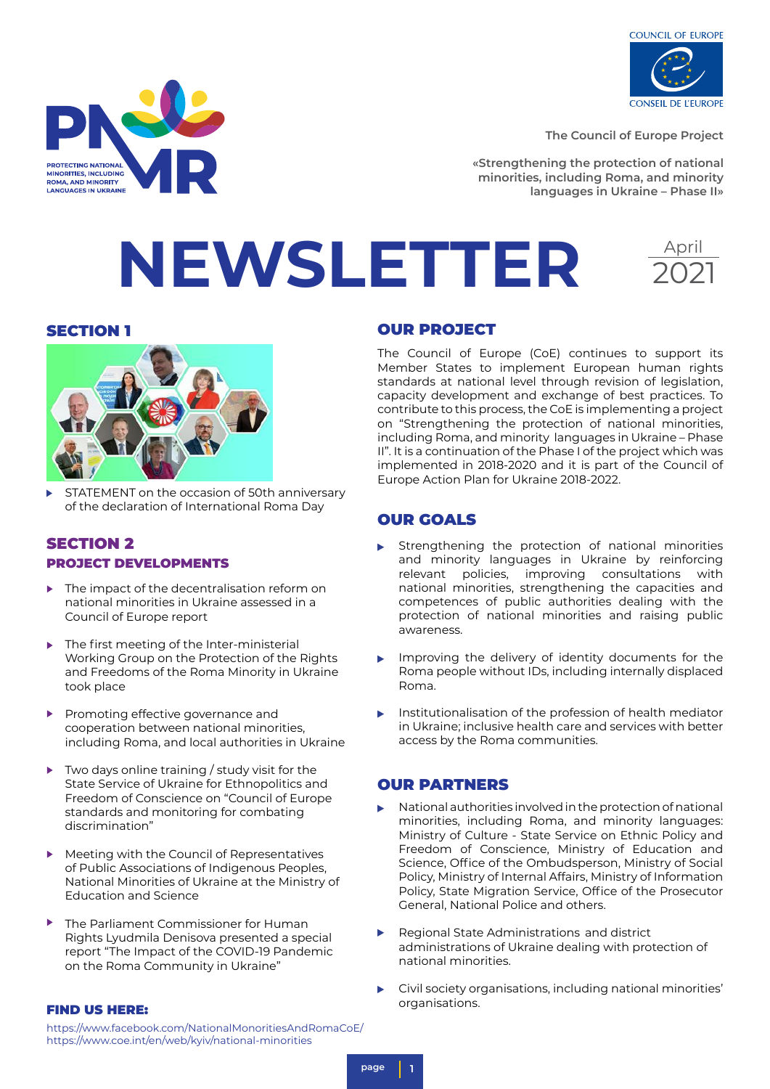

April

2021

**The Council of Europe Project**

**«Strengthening the protection of national minorities, including Roma, and minority languages in Ukraine – Phase II»**

# **NEWSLETTER**

**PROTECTING NATIONAL** MINORITIES, INCLUDING<br>ROMA, AND MINORITY LANGUAGES IN UKRAINE



STATEMENT on the occasion of 50th anniversary of the declaration of International Roma Day

### SECTION 2 PROJECT DEVELOPMENTS

- The impact of the decentralisation reform on b national minorities in Ukraine assessed in a Council of Europe report
- $\mathbf{r}$ The first meeting of the Inter-ministerial Working Group on the Protection of the Rights and Freedoms of the Roma Minority in Ukraine took place
- $\blacktriangleright$ Promoting effective governance and cooperation between national minorities, including Roma, and local authorities in Ukraine
- Two days online training / study visit for the Þ State Service of Ukraine for Ethnopolitics and Freedom of Conscience on "Council of Europe standards and monitoring for combating discrimination"
- Meeting with the Council of Representatives Þ of Public Associations of Indigenous Peoples, National Minorities of Ukraine at the Ministry of Education and Science
- b The Parliament Commissioner for Human Rights Lyudmila Denisova presented a special report "The Impact of the COVID-19 Pandemic on the Roma Community in Ukraine"

### SECTION 1 OUR PROJECT

The Council of Europe (CoE) continues to support its Member States to implement European human rights standards at national level through revision of legislation, capacity development and exchange of best practices. To contribute to this process, the CoE is implementing a project on "Strengthening the protection of national minorities, including Roma, and minority languages in Ukraine – Phase II". It is a continuation of the Phase I of the project which was implemented in 2018-2020 and it is part of the Council of Europe Action Plan for Ukraine 2018-2022.

### OUR GOALS

- Strengthening the protection of national minorities and minority languages in Ukraine by reinforcing relevant policies, improving consultations with national minorities, strengthening the capacities and competences of public authorities dealing with the protection of national minorities and raising public awareness.
- Improving the delivery of identity documents for the Roma people without IDs, including internally displaced Roma.
- Institutionalisation of the profession of health mediator in Ukraine; inclusive health care and services with better access by the Roma communities.

### OUR PARTNERS

- National authorities involved in the protection of national minorities, including Roma, and minority languages: Ministry of Culture - State Service on Ethnic Policy and Freedom of Conscience, Ministry of Education and Science, Office of the Ombudsperson, Ministry of Social Policy, Ministry of Internal Affairs, Ministry of Information Policy, State Migration Service, Office of the Prosecutor General, National Police and others.
- Regional State Administrations and district administrations of Ukraine dealing with protection of national minorities.
- Civil society organisations, including national minorities' organisations.

### FIND US HERE:

https://www.facebook.com/NationalMonoritiesAndRomaCoE/ https://www.coe.int/en/web/kyiv/national-minorities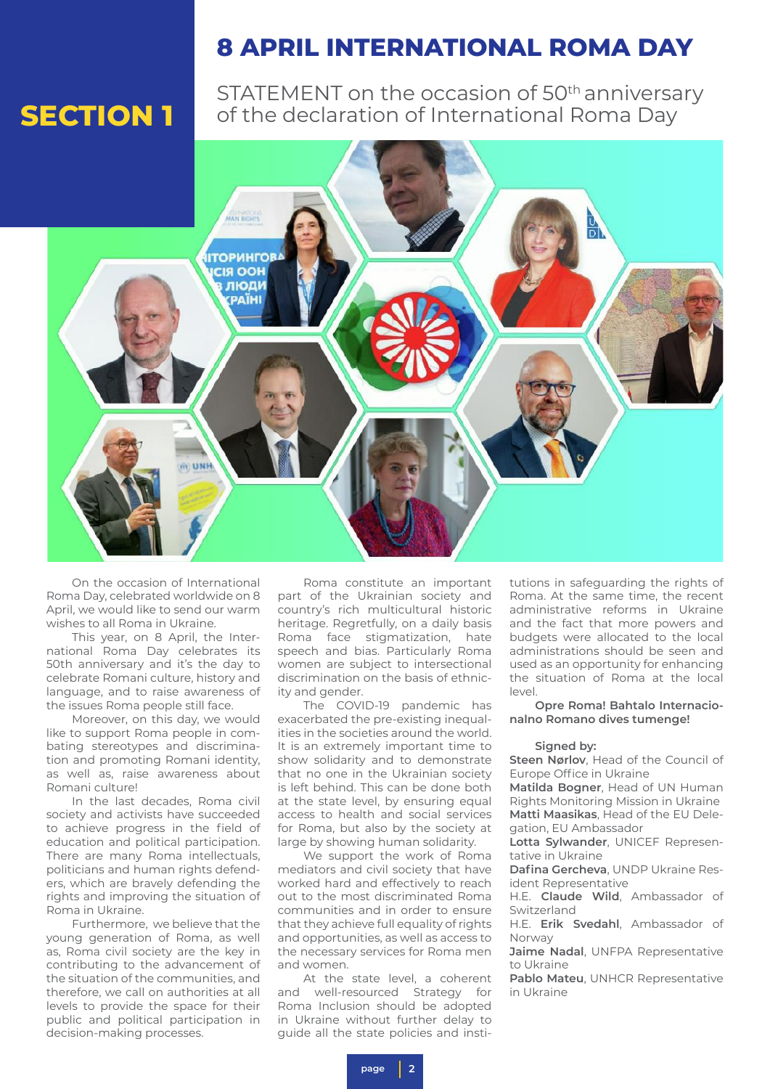### **8 APRIL INTERNATIONAL ROMA DAY**

STATEMENT on the occasion of 50<sup>th</sup> anniversary of the declaration of International Roma Day



On the occasion of International Roma Day, celebrated worldwide on 8 April, we would like to send our warm wishes to all Roma in Ukraine.

This year, on 8 April, the International Roma Day celebrates its 50th anniversary and it's the day to celebrate Romani culture, history and language, and to raise awareness of the issues Roma people still face.

Moreover, on this day, we would like to support Roma people in combating stereotypes and discrimination and promoting Romani identity, as well as, raise awareness about Romani culture!

In the last decades, Roma civil society and activists have succeeded to achieve progress in the field of education and political participation. There are many Roma intellectuals, politicians and human rights defenders, which are bravely defending the rights and improving the situation of Roma in Ukraine.

Furthermore, we believe that the young generation of Roma, as well as, Roma civil society are the key in contributing to the advancement of the situation of the communities, and therefore, we call on authorities at all levels to provide the space for their public and political participation in decision-making processes.

Roma constitute an important part of the Ukrainian society and country's rich multicultural historic heritage. Regretfully, on a daily basis Roma face stigmatization, hate speech and bias. Particularly Roma women are subject to intersectional discrimination on the basis of ethnicity and gender.

The COVID-19 pandemic has exacerbated the pre-existing inequalities in the societies around the world. It is an extremely important time to show solidarity and to demonstrate that no one in the Ukrainian society is left behind. This can be done both at the state level, by ensuring equal access to health and social services for Roma, but also by the society at large by showing human solidarity.

We support the work of Roma mediators and civil society that have worked hard and effectively to reach out to the most discriminated Roma communities and in order to ensure that they achieve full equality of rights and opportunities, as well as access to the necessary services for Roma men and women.

At the state level, a coherent and well-resourced Strategy for Roma Inclusion should be adopted in Ukraine without further delay to guide all the state policies and insti-

tutions in safeguarding the rights of Roma. At the same time, the recent administrative reforms in Ukraine and the fact that more powers and budgets were allocated to the local administrations should be seen and used as an opportunity for enhancing the situation of Roma at the local  $|a|$ 

**Opre Roma! Bahtalo Internacionalno Romano dives tumenge!**

### **Signed by:**

**Steen Nørlov**, Head of the Council of Europe Office in Ukraine

**Matilda Bogner**, Head of UN Human Rights Monitoring Mission in Ukraine **Matti Maasikas**, Head of the EU Delegation, EU Ambassador

**Lotta Sylwander**, UNICEF Representative in Ukraine

**Dafina Gercheva**, UNDP Ukraine Resident Representative

H.E. **Claude Wild**, Ambassador of Switzerland

H.E. **Erik Svedahl**, Ambassador of Norway

**Jaime Nadal**, UNFPA Representative to Ukraine

**Pablo Mateu**, UNHCR Representative in Ukraine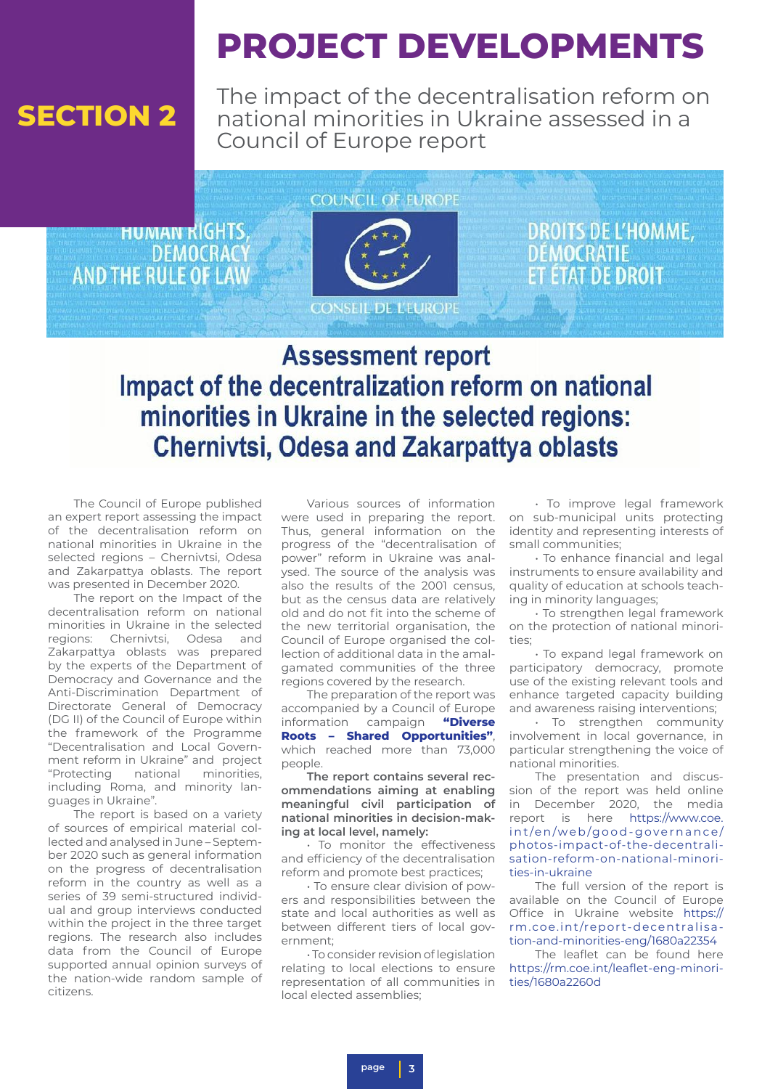## **PROJECT DEVELOPMENTS**

The impact of the decentralisation reform on national minorities in Ukraine assessed in a Council of Europe report

**HUMAN KIGHTS DEMOCRACY AND THE RULE OF LAW** 



**CONSEIL DE L'EUROPE** 

**DROITS DE L'HOMME. DÉMOCRATIE ETAT DE DROIT** 

### **Assessment report** Impact of the decentralization reform on national minorities in Ukraine in the selected regions: **Chernivtsi, Odesa and Zakarpattya oblasts**

The Council of Europe published an expert report assessing the impact of the decentralisation reform on national minorities in Ukraine in the selected regions – Chernivtsi, Odesa and Zakarpattya oblasts. The report was presented in December 2020.

The report on the Impact of the decentralisation reform on national minorities in Ukraine in the selected regions: Chernivtsi, Odesa and Zakarpattya oblasts was prepared by the experts of the Department of Democracy and Governance and the Anti-Discrimination Department of Directorate General of Democracy (DG II) of the Council of Europe within the framework of the Programme "Decentralisation and Local Government reform in Ukraine" and project "Protecting national minorities, including Roma, and minority languages in Ukraine".

The report is based on a variety of sources of empirical material collected and analysed in June – September 2020 such as general information on the progress of decentralisation reform in the country as well as a series of 39 semi-structured individual and group interviews conducted within the project in the three target regions. The research also includes data from the Council of Europe supported annual opinion surveys of the nation-wide random sample of citizens.

Various sources of information were used in preparing the report. Thus, general information on the progress of the "decentralisation of power" reform in Ukraine was analysed. The source of the analysis was also the results of the 2001 census, but as the census data are relatively old and do not fit into the scheme of the new territorial organisation, the Council of Europe organised the collection of additional data in the amalgamated communities of the three regions covered by the research.

The preparation of the report was accompanied by a Council of Europe information campaign **"Diverse Roots – Shared Opportunities"**, which reached more than 73,000 people.

**The report contains several recommendations aiming at enabling meaningful civil participation of national minorities in decision-making at local level, namely:**

• To monitor the effectiveness and efficiency of the decentralisation reform and promote best practices;

• To ensure clear division of powers and responsibilities between the state and local authorities as well as between different tiers of local government;

• To consider revision of legislation relating to local elections to ensure representation of all communities in local elected assemblies;

• To improve legal framework on sub-municipal units protecting identity and representing interests of small communities;

• To enhance financial and legal instruments to ensure availability and quality of education at schools teaching in minority languages;

• To strengthen legal framework on the protection of national minorities;

• To expand legal framework on participatory democracy, promote use of the existing relevant tools and enhance targeted capacity building and awareness raising interventions;

• To strengthen community involvement in local governance, in particular strengthening the voice of national minorities.

The presentation and discussion of the report was held online in December 2020, the media report is here https://www.coe. int/en/web/good-governance/ photos-impact-of-the-decentralisation-reform-on-national-minorities-in-ukraine

The full version of the report is available on the Council of Europe Office in Ukraine website https:// rm.coe.int/report-decentralisation-and-minorities-eng/1680a22354

The leaflet can be found here https://rm.coe.int/leaflet-eng-minorities/1680a2260d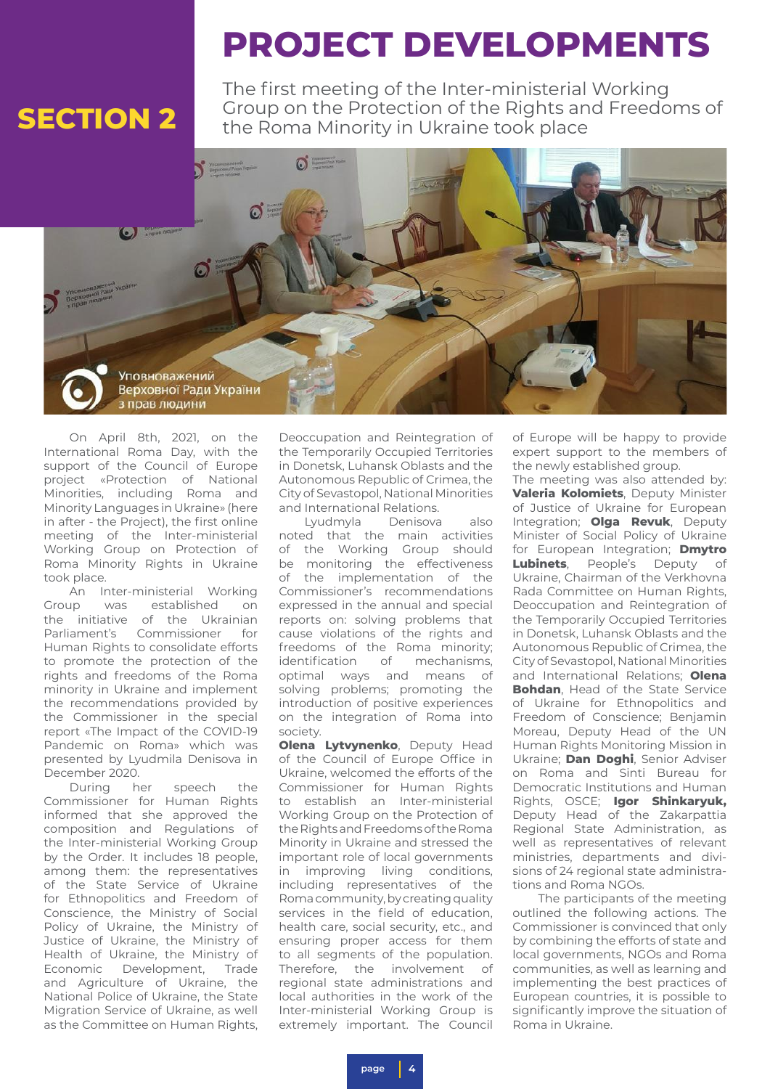**PROJECT DEVELOPMENTS**

The first meeting of the Inter-ministerial Working **SECTION 2** Group on the Protection of the Rights and Freedoms of the Rights and Freedoms of



On April 8th, 2021, on the International Roma Day, with the support of the Council of Europe project «Protection of National Minorities, including Roma and Minority Languages in Ukraine» (here in after - the Project), the first online meeting of the Inter-ministerial Working Group on Protection of Roma Minority Rights in Ukraine took place.

An Inter-ministerial Working Group was established on the initiative of the Ukrainian Parliament's Commissioner for Human Rights to consolidate efforts to promote the protection of the rights and freedoms of the Roma minority in Ukraine and implement the recommendations provided by the Commissioner in the special report «The Impact of the COVID-19 Pandemic on Roma» which was presented by Lyudmila Denisova in December 2020.

During her speech the Commissioner for Human Rights informed that she approved the composition and Regulations of the Inter-ministerial Working Group by the Order. It includes 18 people, among them: the representatives of the State Service of Ukraine for Ethnopolitics and Freedom of Conscience, the Ministry of Social Policy of Ukraine, the Ministry of Justice of Ukraine, the Ministry of Health of Ukraine, the Ministry of Economic Development, Trade and Agriculture of Ukraine, the National Police of Ukraine, the State Migration Service of Ukraine, as well as the Committee on Human Rights,

Deoccupation and Reintegration of the Temporarily Occupied Territories in Donetsk, Luhansk Oblasts and the Autonomous Republic of Crimea, the City of Sevastopol, National Minorities and International Relations.

Lyudmyla Denisova also noted that the main activities of the Working Group should be monitoring the effectiveness of the implementation of the Commissioner's recommendations expressed in the annual and special reports on: solving problems that cause violations of the rights and freedoms of the Roma minority; identification of mechanisms, optimal ways and means of solving problems; promoting the introduction of positive experiences on the integration of Roma into society.

**Olena Lytvynenko**, Deputy Head of the Council of Europe Office in Ukraine, welcomed the efforts of the Commissioner for Human Rights to establish an Inter-ministerial Working Group on the Protection of the Rights and Freedoms of the Roma Minority in Ukraine and stressed the important role of local governments in improving living conditions, including representatives of the Roma community, by creating quality services in the field of education, health care, social security, etc., and ensuring proper access for them to all segments of the population. Therefore, the involvement of regional state administrations and local authorities in the work of the Inter-ministerial Working Group is extremely important. The Council

of Europe will be happy to provide expert support to the members of the newly established group.

The meeting was also attended by: **Valeria Kolomiets**, Deputy Minister of Justice of Ukraine for European Integration; **Olga Revuk**, Deputy Minister of Social Policy of Ukraine for European Integration; **Dmytro Lubinets**, People's Deputy of Ukraine, Chairman of the Verkhovna Rada Committee on Human Rights, Deoccupation and Reintegration of the Temporarily Occupied Territories in Donetsk, Luhansk Oblasts and the Autonomous Republic of Crimea, the City of Sevastopol, National Minorities and International Relations; **Olena Bohdan**, Head of the State Service of Ukraine for Ethnopolitics and Freedom of Conscience; Benjamin Moreau, Deputy Head of the UN Human Rights Monitoring Mission in Ukraine; **Dan Doghi**, Senior Adviser on Roma and Sinti Bureau for Democratic Institutions and Human Rights, OSCE; **Igor Shinkaryuk,**  Deputy Head of the Zakarpattia Regional State Administration, as well as representatives of relevant ministries, departments and divisions of 24 regional state administrations and Roma NGOs.

The participants of the meeting outlined the following actions. The Commissioner is convinced that only by combining the efforts of state and local governments, NGOs and Roma communities, as well as learning and implementing the best practices of European countries, it is possible to significantly improve the situation of Roma in Ukraine.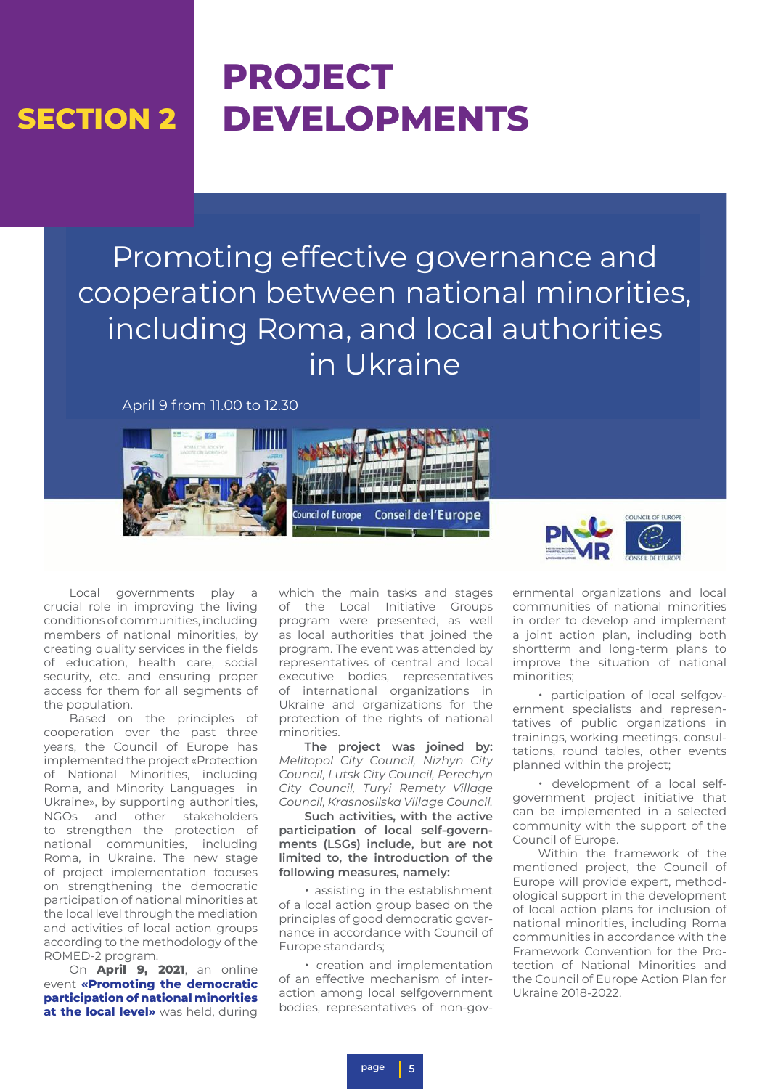## **PROJECT DEVELOPMENTS**

Promoting effective governance and cooperation between national minorities, including Roma, and local authorities in Ukraine

April 9 from 11.00 to 12.30





Local governments play a crucial role in improving the living conditions of communities, including members of national minorities, by creating quality services in the fields of education, health care, social security, etc. and ensuring proper access for them for all segments of the population.

Based on the principles of cooperation over the past three years, the Council of Europe has implemented the project «Protection of National Minorities, including Roma, and Minority Languages in Ukraine», by supporting authorities, NGOs and other stakeholders to strengthen the protection of national communities, including Roma, in Ukraine. The new stage of project implementation focuses on strengthening the democratic participation of national minorities at the local level through the mediation and activities of local action groups according to the methodology of the ROMED-2 program.

On **April 9, 2021**, an online event **«Promoting the democratic participation of national minorities at the local level»** was held, during which the main tasks and stages of the Local Initiative Groups program were presented, as well as local authorities that joined the program. The event was attended by representatives of central and local executive bodies, representatives of international organizations in Ukraine and organizations for the protection of the rights of national minorities.

**The project was joined by:**  *Melitopol City Council, Nizhyn City Council, Lutsk City Council, Perechyn City Council, Turyi Remety Village Council, Krasnosilska Village Council.*

**Such activities, with the active participation of local self-governments (LSGs) include, but are not limited to, the introduction of the following measures, namely:**

• assisting in the establishment of a local action group based on the principles of good democratic governance in accordance with Council of Europe standards;

• creation and implementation of an effective mechanism of interaction among local selfgovernment bodies, representatives of non-gov-

ernmental organizations and local communities of national minorities in order to develop and implement a joint action plan, including both shortterm and long-term plans to improve the situation of national minorities;

• participation of local selfgovernment specialists and representatives of public organizations in trainings, working meetings, consultations, round tables, other events planned within the project;

• development of a local selfgovernment project initiative that can be implemented in a selected community with the support of the Council of Europe.

Within the framework of the mentioned project, the Council of Europe will provide expert, methodological support in the development of local action plans for inclusion of national minorities, including Roma communities in accordance with the Framework Convention for the Protection of National Minorities and the Council of Europe Action Plan for Ukraine 2018-2022.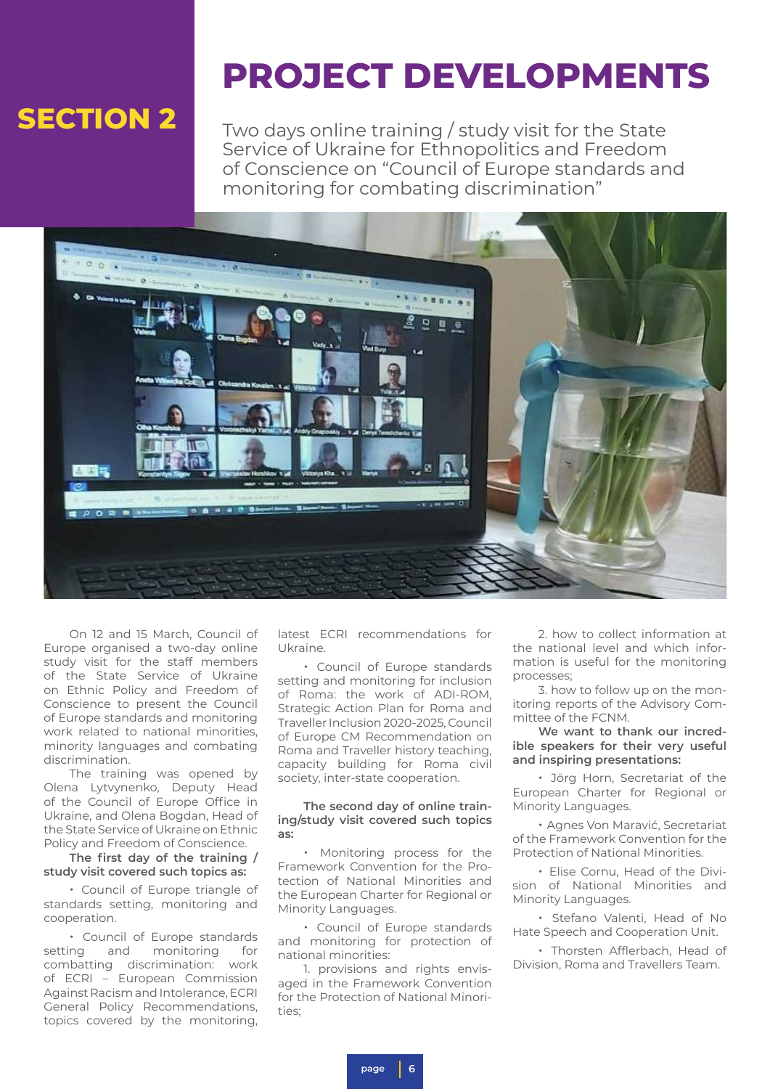## **PROJECT DEVELOPMENTS**

Two days online training / study visit for the State Service of Ukraine for Ethnopolitics and Freedom of Conscience on "Council of Europe standards and monitoring for combating discrimination"



On 12 and 15 March, Council of Europe organised a two-day online study visit for the staff members of the State Service of Ukraine on Ethnic Policy and Freedom of Conscience to present the Council of Europe standards and monitoring work related to national minorities, minority languages and combating discrimination.

The training was opened by Olena Lytvynenko, Deputy Head of the Council of Europe Office in Ukraine, and Olena Bogdan, Head of the State Service of Ukraine on Ethnic Policy and Freedom of Conscience.

**The first day of the training / study visit covered such topics as:**

• Council of Europe triangle of standards setting, monitoring and cooperation.

• Council of Europe standards setting and monitoring for combatting discrimination: work of ECRI – European Commission Against Racism and Intolerance, ECRI General Policy Recommendations, topics covered by the monitoring, latest ECRI recommendations for Ukraine.

• Council of Europe standards setting and monitoring for inclusion of Roma: the work of ADI-ROM, Strategic Action Plan for Roma and Traveller Inclusion 2020-2025, Council of Europe CM Recommendation on Roma and Traveller history teaching, capacity building for Roma civil society, inter-state cooperation.

### **The second day of online training/study visit covered such topics as:**

• Monitoring process for the Framework Convention for the Protection of National Minorities and the European Charter for Regional or Minority Languages.

• Council of Europe standards and monitoring for protection of national minorities:

1. provisions and rights envisaged in the Framework Convention for the Protection of National Minori $t$ ies;

2. how to collect information at the national level and which information is useful for the monitoring processes;

3. how to follow up on the monitoring reports of the Advisory Committee of the FCNM.

**We want to thank our incredible speakers for their very useful and inspiring presentations:**

• Jörg Horn, Secretariat of the European Charter for Regional or Minority Languages.

• Agnes Von Maravić, Secretariat of the Framework Convention for the Protection of National Minorities.

• Elise Cornu, Head of the Division of National Minorities and Minority Languages.

• Stefano Valenti, Head of No Hate Speech and Cooperation Unit.

• Thorsten Afflerbach, Head of Division, Roma and Travellers Team.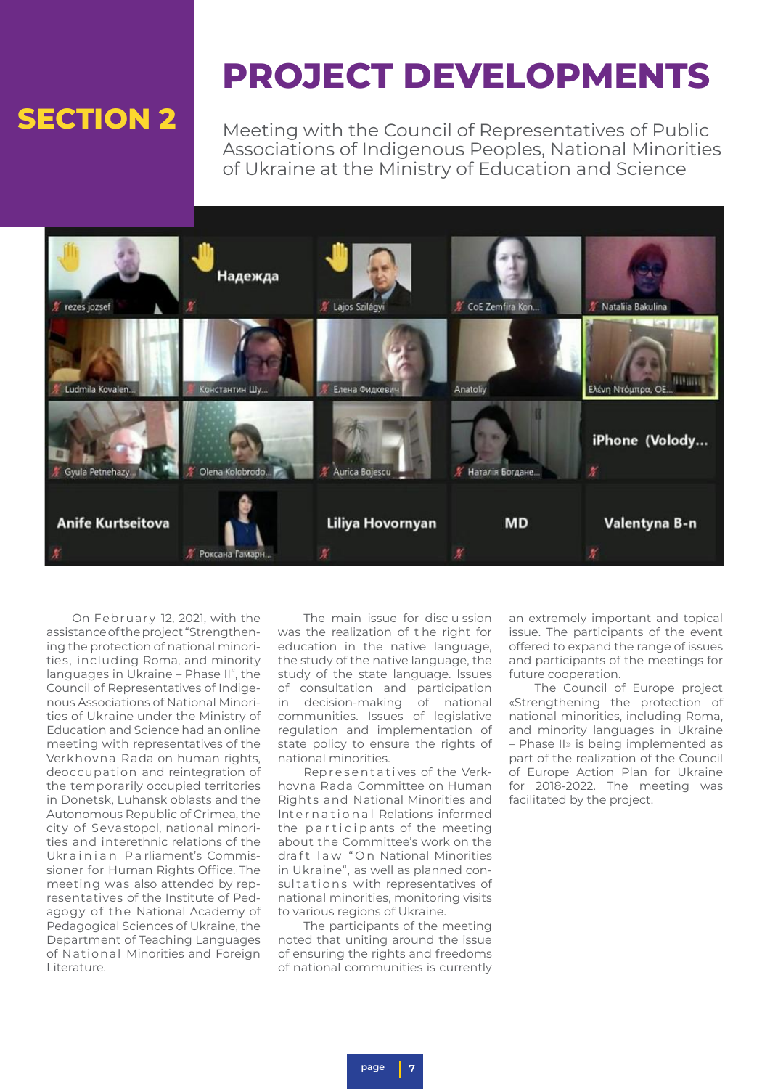## **PROJECT DEVELOPMENTS**

Meeting with the Council of Representatives of Public Associations of Indigenous Peoples, National Minorities of Ukraine at the Ministry of Education and Science



On February 12, 2021, with the assistance of the project "Strengthening the protection of national minorities, including Roma, and minority languages in Ukraine – Phase II", the Council of Representatives of Indigenous Associations of National Minorities of Ukraine under the Ministry of Education and Science had an online meeting with representatives of the Verkhovna Rada on human rights, deoccupation and reintegration of the temporarily occupied territories in Donetsk, Luhansk oblasts and the Autonomous Republic of Crimea, the city of Sevastopol, national minorities and interethnic relations of the Ukr a inian Parliament's Commissioner for Human Rights Office. The meeting was also attended by representatives of the Institute of Pedagogy of the National Academy of Pedagogical Sciences of Ukraine, the Department of Teaching Languages of National Minorities and Foreign Literature.

The main issue for disc u ssion was the realization of t he right for education in the native language, the study of the native language, the study of the state language. lssues of consultation and participation in decision-making of national communities. Issues of legislative regulation and implementation of state policy to ensure the rights of national minorities.

Rep resentatives of the Verkhovna Rada Committee on Human Rights and National Minorities and International Relations informed the participants of the meeting about the Committee's work on the dra ft law " On National Minorities in Ukraine", as well as planned consultations with representatives of national minorities, monitoring visits to various regions of Ukraine.

The participants of the meeting noted that uniting around the issue of ensuring the rights and freedoms of national communities is currently an extremely important and topical issue. The participants of the event offered to expand the range of issues and participants of the meetings for future cooperation.

The Council of Europe project «Strengthening the protection of national minorities, including Roma, and minority languages in Ukraine – Phase II» is being implemented as part of the realization of the Council of Europe Action Plan for Ukraine for 2018-2022. The meeting was facilitated by the project.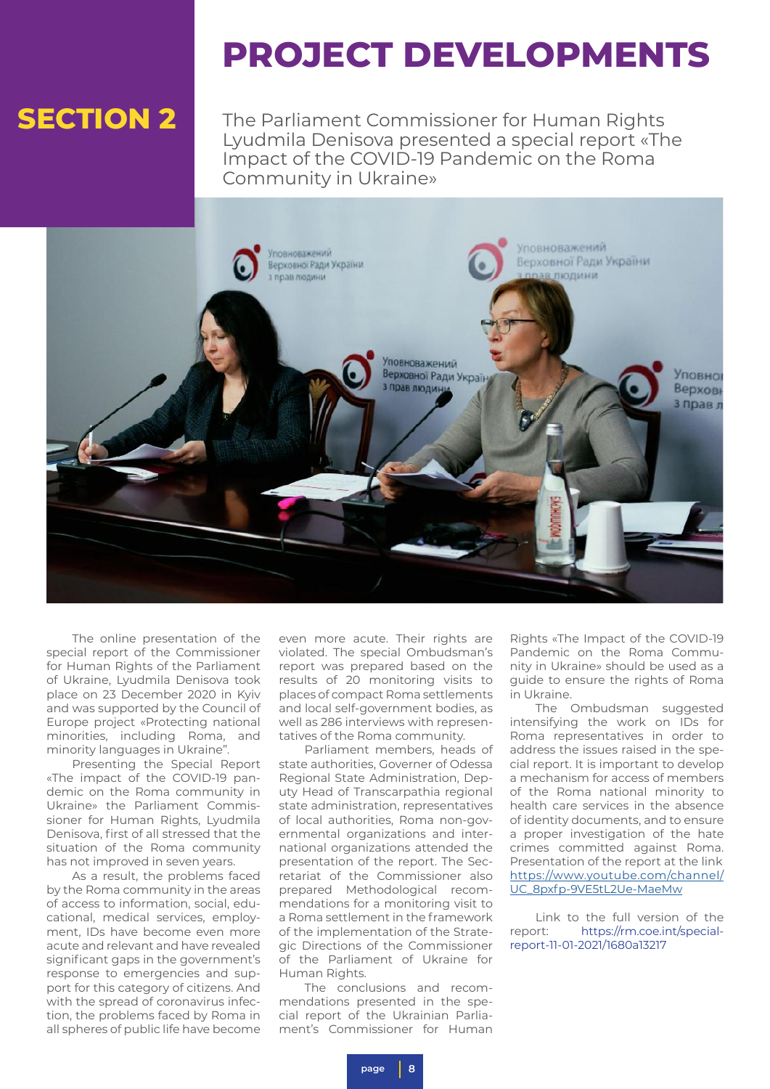## **PROJECT DEVELOPMENTS**

The Parliament Commissioner for Human Rights Lyudmila Denisova presented a special report «The Impact of the COVID-19 Pandemic on the Roma Community in Ukraine»



The online presentation of the special report of the Commissioner for Human Rights of the Parliament of Ukraine, Lyudmila Denisova took place on 23 December 2020 in Kyiv and was supported by the Council of Europe project «Protecting national minorities, including Roma, and minority languages in Ukraine".

Presenting the Special Report «The impact of the COVID-19 pandemic on the Roma community in Ukraine» the Parliament Commissioner for Human Rights, Lyudmila Denisova, first of all stressed that the situation of the Roma community has not improved in seven years.

As a result, the problems faced by the Roma community in the areas of access to information, social, educational, medical services, employment, IDs have become even more acute and relevant and have revealed significant gaps in the government's response to emergencies and support for this category of citizens. And with the spread of coronavirus infection, the problems faced by Roma in all spheres of public life have become

even more acute. Their rights are violated. The special Ombudsman's report was prepared based on the results of 20 monitoring visits to places of compact Roma settlements and local self-government bodies, as well as 286 interviews with representatives of the Roma community.

Parliament members, heads of state authorities, Governer of Odessa Regional State Administration, Deputy Head of Transcarpathia regional state administration, representatives of local authorities, Roma non-governmental organizations and international organizations attended the presentation of the report. The Secretariat of the Commissioner also prepared Methodological recommendations for a monitoring visit to a Roma settlement in the framework of the implementation of the Strategic Directions of the Commissioner of the Parliament of Ukraine for Human Rights.

The conclusions and recommendations presented in the special report of the Ukrainian Parliament's Commissioner for Human

Rights «The Impact of the COVID-19 Pandemic on the Roma Community in Ukraine» should be used as a guide to ensure the rights of Roma in Ukraine.

The Ombudsman suggested intensifying the work on IDs for Roma representatives in order to address the issues raised in the special report. It is important to develop a mechanism for access of members of the Roma national minority to health care services in the absence of identity documents, and to ensure a proper investigation of the hate crimes committed against Roma. Presentation of the report at the link [https://www.youtube.com/channel/](https://www.youtube.com/channel/UC_8pxfp-9VE5tL2Ue-MaeMw) [UC\\_8pxfp-9VE5tL2Ue-MaeMw](https://www.youtube.com/channel/UC_8pxfp-9VE5tL2Ue-MaeMw)

Link to the full version of the report: https://rm.coe.int/specialreport-11-01-2021/1680a13217